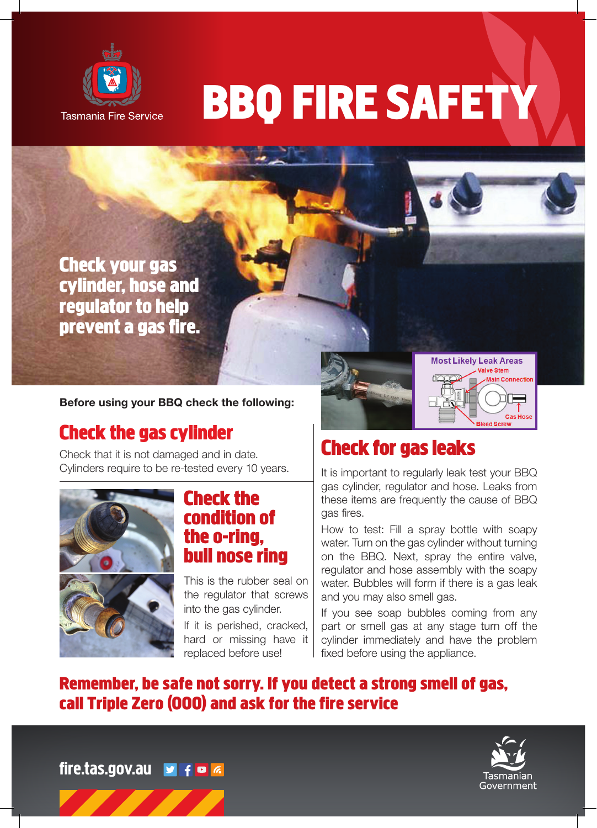

# **BBQ FIRE SAFETY**

**Check your gas cylinder, hose and regulator to help prevent a gas fire.**

Before using your BBQ check the following:

# **Check the gas cylinder**

Check that it is not damaged and in date. Cylinders require to be re-tested every 10 years.



#### **Check the condition of the o-ring, bull nose ring**

This is the rubber seal on the regulator that screws into the gas cylinder. If it is perished, cracked,

hard or missing have it replaced before use!



# **Check for gas leaks**

It is important to regularly leak test your BBQ gas cylinder, regulator and hose. Leaks from these items are frequently the cause of BBQ gas fires.

How to test: Fill a spray bottle with soapy water. Turn on the gas cylinder without turning on the BBQ. Next, spray the entire valve, regulator and hose assembly with the soapy water. Bubbles will form if there is a gas leak and you may also smell gas.

If you see soap bubbles coming from any part or smell gas at any stage turn off the cylinder immediately and have the problem fixed before using the appliance.

## **Remember, be safe not sorry. If you detect a strong smell of gas, call Triple Zero (000) and ask for the fire service**



in Connection

Gas Ho

fire.tas.gov.au v f o d